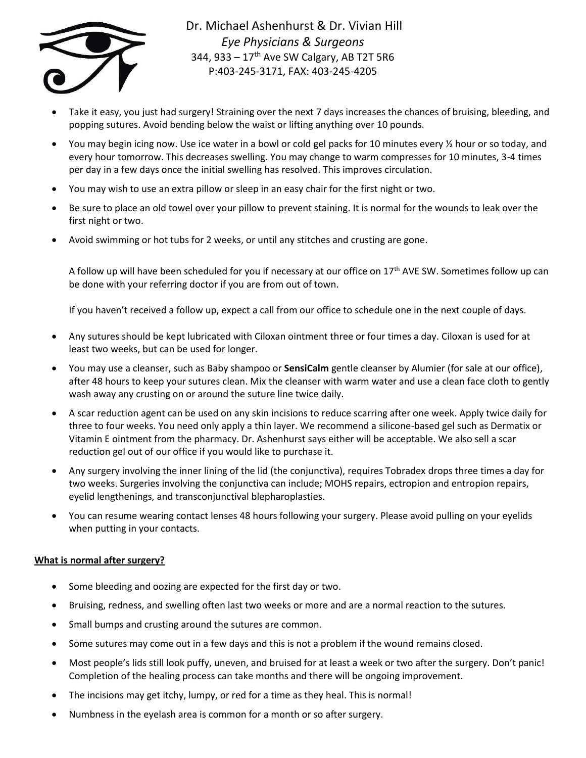

Dr. Michael Ashenhurst & Dr. Vivian Hill *Eye Physicians & Surgeons* 344, 933 –  $17<sup>th</sup>$  Ave SW Calgary, AB T2T 5R6 P:403-245-3171, FAX: 403-245-4205

- Take it easy, you just had surgery! Straining over the next 7 days increases the chances of bruising, bleeding, and popping sutures. Avoid bending below the waist or lifting anything over 10 pounds.
- You may begin icing now. Use ice water in a bowl or cold gel packs for 10 minutes every ½ hour or so today, and every hour tomorrow. This decreases swelling. You may change to warm compresses for 10 minutes, 3-4 times per day in a few days once the initial swelling has resolved. This improves circulation.
- You may wish to use an extra pillow or sleep in an easy chair for the first night or two.
- Be sure to place an old towel over your pillow to prevent staining. It is normal for the wounds to leak over the first night or two.
- Avoid swimming or hot tubs for 2 weeks, or until any stitches and crusting are gone.

A follow up will have been scheduled for you if necessary at our office on 17<sup>th</sup> AVE SW. Sometimes follow up can be done with your referring doctor if you are from out of town.

If you haven't received a follow up, expect a call from our office to schedule one in the next couple of days.

- Any sutures should be kept lubricated with Ciloxan ointment three or four times a day. Ciloxan is used for at least two weeks, but can be used for longer.
- You may use a cleanser, such as Baby shampoo or **SensiCalm** gentle cleanser by Alumier (for sale at our office), after 48 hours to keep your sutures clean. Mix the cleanser with warm water and use a clean face cloth to gently wash away any crusting on or around the suture line twice daily.
- A scar reduction agent can be used on any skin incisions to reduce scarring after one week. Apply twice daily for three to four weeks. You need only apply a thin layer. We recommend a silicone-based gel such as Dermatix or Vitamin E ointment from the pharmacy. Dr. Ashenhurst says either will be acceptable. We also sell a scar reduction gel out of our office if you would like to purchase it.
- Any surgery involving the inner lining of the lid (the conjunctiva), requires Tobradex drops three times a day for two weeks. Surgeries involving the conjunctiva can include; MOHS repairs, ectropion and entropion repairs, eyelid lengthenings, and transconjunctival blepharoplasties.
- You can resume wearing contact lenses 48 hours following your surgery. Please avoid pulling on your eyelids when putting in your contacts.

## **What is normal after surgery?**

- Some bleeding and oozing are expected for the first day or two.
- Bruising, redness, and swelling often last two weeks or more and are a normal reaction to the sutures.
- Small bumps and crusting around the sutures are common.
- Some sutures may come out in a few days and this is not a problem if the wound remains closed.
- Most people's lids still look puffy, uneven, and bruised for at least a week or two after the surgery. Don't panic! Completion of the healing process can take months and there will be ongoing improvement.
- The incisions may get itchy, lumpy, or red for a time as they heal. This is normal!
- Numbness in the eyelash area is common for a month or so after surgery.